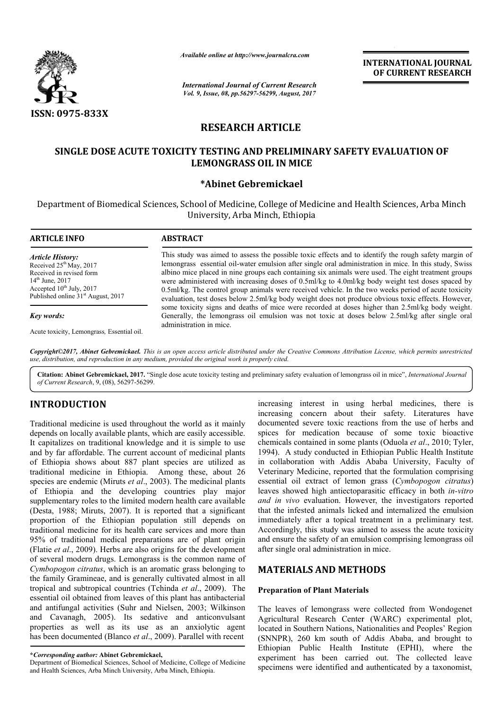

*Available online at http://www.journal http://www.journalcra.com*

*International Journal of Current Research Vol. 9, Issue, 08, pp.56297-56299, August, 2017* **INTERNATIONAL JOURNAL OF CURRENT RESEARCH** 

# **RESEARCH ARTICLE**

## SINGLE DOSE ACUTE TOXICITY TESTING AND PRELIMINARY SAFETY EVALUATION OF **LEMONGRASS OIL IN MICE**

## **\*Abinet Gebremickael**

Department of Biomedical Sciences, School of Medicine, College of Medicine and Health Sciences, Arba Minch University, Arba Minch, Ethiopia

| <b>ARTICLE INFO</b>                                                                                                                                                                                | <b>ABSTRACT</b>                                                                                                                                                                                                                                                                                                                                                                                                                                                                                                                                                                                                                         |  |  |
|----------------------------------------------------------------------------------------------------------------------------------------------------------------------------------------------------|-----------------------------------------------------------------------------------------------------------------------------------------------------------------------------------------------------------------------------------------------------------------------------------------------------------------------------------------------------------------------------------------------------------------------------------------------------------------------------------------------------------------------------------------------------------------------------------------------------------------------------------------|--|--|
| <b>Article History:</b><br>Received $25th$ May, 2017<br>Received in revised form<br>$14^{\text{th}}$ June, 2017<br>Accepted $10^{th}$ July, 2017<br>Published online 31 <sup>st</sup> August, 2017 | This study was aimed to assess the possible toxic effects and to identify the rough safety margin of<br>lemongrass essential oil-water emulsion after single oral administration in mice. In this study, Swiss<br>albino mice placed in nine groups each containing six animals were used. The eight treatment groups<br>were administered with increasing doses of 0.5ml/kg to 4.0ml/kg body weight test doses spaced by<br>0.5ml/kg. The control group animals were received vehicle. In the two weeks period of acute toxicity<br>evaluation, test doses below 2.5ml/kg body weight does not produce obvious toxic effects. However, |  |  |
| Key words:                                                                                                                                                                                         | some toxicity signs and deaths of mice were recorded at doses higher than 2.5 ml/kg body weight.<br>Generally, the lemongrass oil emulsion was not toxic at doses below 2.5ml/kg after single oral<br>administration in mice.                                                                                                                                                                                                                                                                                                                                                                                                           |  |  |
| Acute toxicity, Lemongrass, Essential oil.                                                                                                                                                         |                                                                                                                                                                                                                                                                                                                                                                                                                                                                                                                                                                                                                                         |  |  |

*Copyright©2017, Abinet Gebremickael. This is an open access article distributed under the Creative Commons Att Attribution License, which ribution permits unrestricted use, distribution, and reproduction in any medium, provided the original work is properly cited.*

Citation: Abinet Gebremickael, 2017. "Single dose acute toxicity testing and preliminary safety evaluation of lemongrass oil in mice", *International Journal of Current Research*, 9, (08), 56297-56299.

# **INTRODUCTION**

Traditional medicine is used throughout the world as it mainly depends on locally available plants, which are easily accessible. It capitalizes on traditional knowledge and it is simple to use and by far affordable. The current account of medicinal plants of Ethiopia shows about 887 plant species are utilized as traditional medicine in Ethiopia. Among these, about 26 species are endemic (Miruts *et al*., 2003). The medicinal plants of Ethiopia and the developing countries play major supplementary roles to the limited modern health care available (Desta, 1988; Miruts, 2007). It is reported that a significant proportion of the Ethiopian population still depends on traditional medicine for its health care services and more than 95% of traditional medical preparations are of plant origin (Flatie *et al*., 2009). Herbs are also origins for the development of several modern drugs. Lemongrass is the common name of *Cymbopogon citratus*, which is an aromatic grass belonging to the family Gramineae, and is generally cultivated almost in all tropical and subtropical countries (Tchinda et al., 2009). The essential oil obtained from leaves of this plant has antibacterial and antifungal activities (Suhr and Nielsen, 2003; Wilkinson and Cavanagh, 2005). Its sedative and anticonvulsant properties as well as its use as an anxiolytic agent has been documented (Blanco *et al*., 2009). Parallel with recent e limited modern health care available<br>007). It is reported that a significant<br>opian population still depends on<br>its health care services and more than<br>its health care services and more than<br>sical preparations are of plant

Department of Biomedical Sciences, School of Medicine, College of Medicine and Health Sciences, Arba Minch University, Arba Minch, Ethiopia.

increasing interest in using herbal microscopic<br>
increasing concern about their safety. Literatures have<br>
alole plants, which are easily accessible. spices for medication because of some toxic biaset<br>
and knowledge and it increasing concern about their safety. Literatures have documented severe toxic reactions from the use of herbs and spices for medication because of some toxic bioactive chemicals contained in some plants (Oduola et al., 2010; Tyler, 1994). A study conducted in Ethiopian Public Health Institute in collaboration with Addis Ababa University, Faculty of Veterinary Medicine, reported that the essential oil extract of lemon grass ( *Cymbopogon citratus*) leaves showed high antiectoparasitic efficacy in both *in-vitro* and in vivo evaluation. However, the investigators reported that the infested animals licked and internalized the emulsion immediately after a topical treatment in a preliminary test. Accordingly, this study was aimed to assess the acute toxicity and ensure the safety of an emulsion comprising lemongrass oil after single oral administration in mice. increasing interest in using herbal medicines, there is<br>increasing concern about their safety. Literatures have<br>documented severe toxic reactions from the use of herbs and<br>spices for medication because of some toxic bioact . A study conducted in Ethiopian Public Health Institute Ilaboration with Addis Ababa University, Faculty of inary Medicine, reported that the formulation comprising **NTERNATIONAL JOURNAL**<br> **OF CURRENT RESEARCH**<br> **OF CURRENT RESEARCH**<br> **OF CURRENT RESEARCH**<br> **AUTION OF**<br> **EVALUATION OF**<br> **AUTION ACTION AND**<br> **EVALUATION OF**<br> **EVALUATION OF**<br> **EVALUATION OF**<br> **EVALUATION OF**<br> **EVALUATI** 

## **MATERIALS AND METHODS METHODS**

### **Preparation of Plant Materials**

The leaves of lemongrass were collected from Wondogenet Agricultural Research Center (WARC) experimental plot, located in Southern Nations, Nationalities and Peoples' Region (SNNPR), 260 km south of Addis Ababa, and brought to Ethiopian Public Health Institut experiment has been carried out. specimens were identified and authenticated by a taxonomist, The leaves of lemongrass were collected from Wondogenet<br>Agricultural Research Center (WARC) experimental plot,<br>located in Southern Nations, Nationalities and Peoples' Region<br>(SNNPR), 260 km south of Addis Ababa, and brough experiment has been carried out. The collected leave

**<sup>\*</sup>***Corresponding author:* **Abinet Gebremickael,**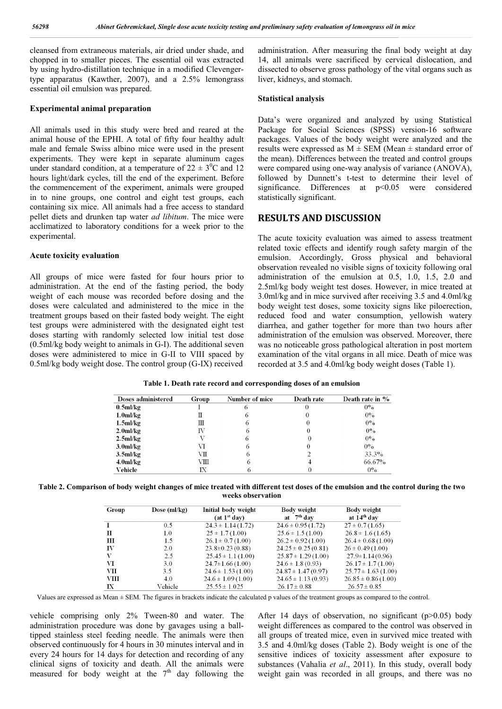cleansed from extraneous materials, air dried under shade, and chopped in to smaller pieces. The essential oil was extracted by using hydro-distillation technique in a modified Clevengertype apparatus (Kawther, 2007), and a 2.5% lemongrass essential oil emulsion was prepared.

#### **Experimental animal preparation**

All animals used in this study were bred and reared at the animal house of the EPHI. A total of fifty four healthy adult male and female Swiss albino mice were used in the present experiments. They were kept in separate aluminum cages under standard condition, at a temperature of  $22 \pm 3^0C$  and 12 hours light/dark cycles, till the end of the experiment. Before the commencement of the experiment, animals were grouped in to nine groups, one control and eight test groups, each containing six mice. All animals had a free access to standard pellet diets and drunken tap water *ad libitum*. The mice were acclimatized to laboratory conditions for a week prior to the experimental.

#### **Acute toxicity evaluation**

All groups of mice were fasted for four hours prior to administration. At the end of the fasting period, the body weight of each mouse was recorded before dosing and the doses were calculated and administered to the mice in the treatment groups based on their fasted body weight. The eight test groups were administered with the designated eight test doses starting with randomly selected low initial test dose (0.5ml/kg body weight to animals in G-I). The additional seven doses were administered to mice in G-II to VIII spaced by 0.5ml/kg body weight dose. The control group (G-IX) received

administration. After measuring the final body weight at day 14, all animals were sacrificed by cervical dislocation, and dissected to observe gross pathology of the vital organs such as liver, kidneys, and stomach.

#### **Statistical analysis**

Data's were organized and analyzed by using Statistical Package for Social Sciences (SPSS) version-16 software packages. Values of the body weight were analyzed and the results were expressed as  $M \pm SEM$  (Mean  $\pm$  standard error of the mean). Differences between the treated and control groups were compared using one-way analysis of variance (ANOVA), followed by Dunnett's t-test to determine their level of significance. Differences at  $p<0.05$  were considered statistically significant.

### **RESULTS AND DISCUSSION**

The acute toxicity evaluation was aimed to assess treatment related toxic effects and identify rough safety margin of the emulsion. Accordingly, Gross physical and behavioral observation revealed no visible signs of toxicity following oral administration of the emulsion at 0.5, 1.0, 1.5, 2.0 and 2.5ml/kg body weight test doses. However, in mice treated at 3.0ml/kg and in mice survived after receiving 3.5 and 4.0ml/kg body weight test doses, some toxicity signs like piloerection, reduced food and water consumption, yellowish watery diarrhea, and gather together for more than two hours after administration of the emulsion was observed. Moreover, there was no noticeable gross pathological alteration in post mortem examination of the vital organs in all mice. Death of mice was recorded at 3.5 and 4.0ml/kg body weight doses (Table 1).

**Table 1. Death rate record and corresponding doses of an emulsion**

| <b>Doses administered</b> | Group | Number of mice | Death rate | Death rate in % |
|---------------------------|-------|----------------|------------|-----------------|
| $0.5$ ml/kg               |       | o              | u          | $0\%$           |
| 1.0 <sub>m</sub> /kg      | П     | 0              |            | $0\%$           |
| 1.5 <sub>m</sub> /kg      | Ш     | O              | 0          | $0\%$           |
| 2.0 <sub>m</sub> /kg      | IV    | 6              | 0          | $0\%$           |
| $2.5$ ml/kg               |       | $\sigma$       | O          | $0\%$           |
| 3.0 <sub>m</sub> /kg      | VI    | 6              | 0          | $0\%$           |
| 3.5 <sub>m</sub> /kg      | VП    | 6              |            | 33.3%           |
| 4.0 <sub>m</sub> /kg      | VШ    | 6              |            | 66.67%          |
| Vehicle                   | IX    | 0              |            | $0\%$           |

| Table 2. Comparison of body weight changes of mice treated with different test doses of the emulsion and the control during the two |
|-------------------------------------------------------------------------------------------------------------------------------------|
| weeks observation                                                                                                                   |

| Group | Dose $(ml/kg)$ | Initial body weight<br>(at 1 <sup>st</sup> dav) | Body weight<br>at $7th$ day | Body weight<br>at 14 <sup>th</sup> day |
|-------|----------------|-------------------------------------------------|-----------------------------|----------------------------------------|
|       | 0.5            | $24.3 \pm 1.14(1.72)$                           | $24.6 \pm 0.95(1.72)$       | $27 \pm 0.7(1.65)$                     |
| П     | 1.0            | $25 \pm 1.7(1.00)$                              | $25.6 \pm 1.5(1.00)$        | $26.8 \pm 1.6$ (1.65)                  |
| Ш     | 1.5            | $26.1 \pm 0.7(1.00)$                            | $26.2 \pm 0.92(1.00)$       | $26.4 \pm 0.68$ (1.00)                 |
| IV    | 2.0            | $23.8 \pm 0.23(0.88)$                           | $24.25 \pm 0.25(0.81)$      | $26 \pm 0.49(1.00)$                    |
| V     | 2.5            | $25.45 \pm 1.1(1.00)$                           | $25.87 \pm 1.29(1.00)$      | $27.9 \pm 1.14(0.96)$                  |
| VI    | 3.0            | $24.7 \pm 1.66(1.00)$                           | $24.6 \pm 1.8$ (0.93)       | $26.17 \pm 1.7(1.00)$                  |
| VII   | 3.5            | $24.6 \pm 1.53(1.00)$                           | $24.87 \pm 1.47(0.97)$      | $25.77 \pm 1.63$ (1.00)                |
| VIII  | 4.0            | $24.6 \pm 1.09(1.00)$                           | $24.65 \pm 1.13(0.93)$      | $26.85 \pm 0.86(1.00)$                 |
| IX    | Vehicle        | $25.55 \pm 1.025$                               | $26.17 \pm 0.88$            | $26.57 \pm 0.85$                       |

Values are expressed as Mean ± SEM. The figures in brackets indicate the calculated p values of the treatment groups as compared to the control.

vehicle comprising only 2% Tween-80 and water. The administration procedure was done by gavages using a balltipped stainless steel feeding needle. The animals were then observed continuously for 4 hours in 30 minutes interval and in every 24 hours for 14 days for detection and recording of any clinical signs of toxicity and death. All the animals were measured for body weight at the  $7<sup>th</sup>$  day following the After 14 days of observation, no significant  $(p>0.05)$  body weight differences as compared to the control was observed in all groups of treated mice, even in survived mice treated with 3.5 and 4.0ml/kg doses (Table 2). Body weight is one of the sensitive indices of toxicity assessment after exposure to substances (Vahalia *et al*., 2011). In this study, overall body weight gain was recorded in all groups, and there was no